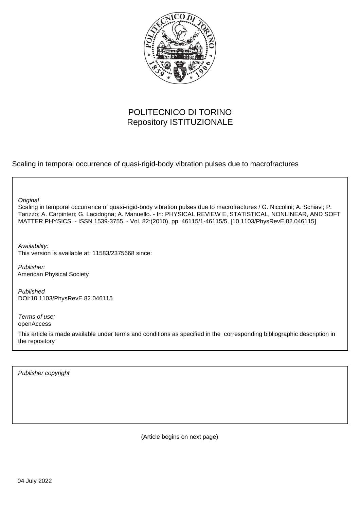

# POLITECNICO DI TORINO Repository ISTITUZIONALE

Scaling in temporal occurrence of quasi-rigid-body vibration pulses due to macrofractures

**Original** 

Scaling in temporal occurrence of quasi-rigid-body vibration pulses due to macrofractures / G. Niccolini; A. Schiavi; P. Tarizzo; A. Carpinteri; G. Lacidogna; A. Manuello. - In: PHYSICAL REVIEW E, STATISTICAL, NONLINEAR, AND SOFT MATTER PHYSICS. - ISSN 1539-3755. - Vol. 82:(2010), pp. 46115/1-46115/5. [10.1103/PhysRevE.82.046115]

Availability: This version is available at: 11583/2375668 since:

Publisher: American Physical Society

Published DOI:10.1103/PhysRevE.82.046115

Terms of use: openAccess

This article is made available under terms and conditions as specified in the corresponding bibliographic description in the repository

Publisher copyright

(Article begins on next page)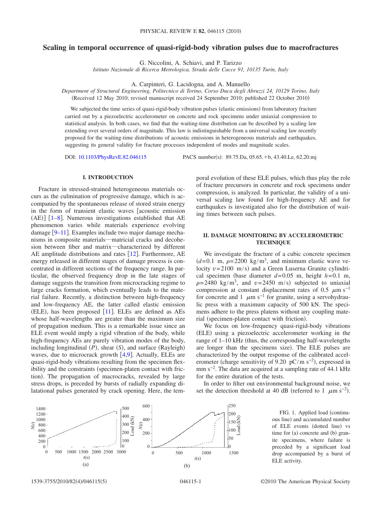## **Scaling in temporal occurrence of quasi-rigid-body vibration pulses due to macrofractures**

G. Niccolini, A. Schiavi, and P. Tarizzo

*Istituto Nazionale di Ricerca Metrologica, Strada delle Cacce 91, 10135 Turin, Italy*

A. Carpinteri, G. Lacidogna, and A. Manuello

*Department of Structural Engineering, Politecnico di Torino, Corso Duca degli Abruzzi 24, 10129 Torino, Italy* Received 12 May 2010; revised manuscript received 24 September 2010; published 22 October 2010-

We subjected the time series of quasi-rigid-body vibration pulses (elastic emissions) from laboratory fracture carried out by a piezoelectric accelerometer on concrete and rock specimens under uniaxial compression to statistical analysis. In both cases, we find that the waiting-time distribution can be described by a scaling law extending over several orders of magnitude. This law is indistinguishable from a universal scaling law recently proposed for the waiting-time distributions of acoustic emissions in heterogeneous materials and earthquakes, suggesting its general validity for fracture processes independent of modes and magnitude scales.

DOI: [10.1103/PhysRevE.82.046115](http://dx.doi.org/10.1103/PhysRevE.82.046115)

PACS number(s):  $89.75 \text{.Da}$ ,  $05.65.+b$ ,  $43.40 \text{.Le}$ ,  $62.20 \text{.mi}$ 

#### **I. INTRODUCTION**

Fracture in stressed-strained heterogeneous materials occurs as the culmination of progressive damage, which is accompanied by the spontaneous release of stored strain energy in the form of transient elastic waves [acoustic emission]  $(AE)$ ] [1–8]. Numerous investigations established that AE phenomenon varies while materials experience evolving damage [9–11]. Examples include two major damage mechanisms in composite materials―matricial cracks and decohesion between fiber and matrix―characterized by different AE amplitude distributions and rates  $[12]$ . Furthermore, AE energy released in different stages of damage process is concentrated in different sections of the frequency range. In particular, the observed frequency drop in the late stages of damage suggests the transition from microcracking regime to large cracks formation, which eventually leads to the material failure. Recently, a distinction between high-frequency and low-frequency AE, the latter called elastic emission  $(ELE)$ , has been proposed  $[11]$ . ELEs are defined as AEs whose half-wavelengths are greater than the maximum size of propagation medium. This is a remarkable issue since an ELE event would imply a rigid vibration of the body, while high-frequency AEs are purely vibration modes of the body, including longitudinal (P), shear (S), and surface (Rayleigh) waves, due to microcrack growth  $[4,9]$ . Actually, ELEs are quasi-rigid-body vibrations resulting from the specimen flexibility and the constraints (specimen-platen contact with friction). The propagation of macrocracks, revealed by large stress drops, is preceded by bursts of radially expanding dilatational pulses generated by crack opening. Here, the temporal evolution of these ELE pulses, which thus play the role of fracture precursors in concrete and rock specimens under compression, is analyzed. In particular, the validity of a universal scaling law found for high-frequency AE and for earthquakes is investigated also for the distribution of waiting times between such pulses.

#### **II. DAMAGE MONITORING BY ACCELEROMETRIC TECHNIQUE**

We investigate the fracture of a cubic concrete specimen  $(d=0.1 \text{ m}, \rho=2200 \text{ kg/m}^3, \text{ and minimum elastic wave ve-}$ locity  $v = 2100$  m/s) and a Green Luserna Granite cylindrical specimen (base diameter  $d=0.05$  m, height  $h=0.1$  m,  $\rho = 2480 \text{ kg/m}^3$ , and  $v = 2450 \text{ m/s}$  subjected to uniaxial compression at constant displacement rates of 0.5  $\mu$ m s<sup>-1</sup> for concrete and 1  $\mu$ m s<sup>-1</sup> for granite, using a servohydraulic press with a maximum capacity of 500 kN. The specimens adhere to the press platens without any coupling material (specimen-platen contact with friction).

We focus on low-frequency quasi-rigid-body vibrations (ELE) using a piezoelectric accelerometer working in the range of  $1-10$  kHz (thus, the corresponding half-wavelengths are longer than the specimens size). The ELE pulses are characterized by the output response of the calibrated accelerometer (charge sensitivity of 9.20 pC/m s<sup>-2</sup>), expressed in mm s<sup>-2</sup>. The data are acquired at a sampling rate of 44.1 kHz for the entire duration of the tests.

In order to filter out environmental background noise, we set the detection threshold at 40 dB (referred to 1  $\mu$ m s<sup>-2</sup>).

> 250 200

 $150\frac{2}{3}$ <br> $100\frac{2}{3}$  $-100\ \frac{5}{9}$ 50  $\overline{0}$ 

FIG. 1. Applied load (continuous line) and accumulated number of ELE events (dotted line) vs time for (a) concrete and (b) granite specimens, where failure is preceded by a significant load drop accompanied by a burst of ELE activity.

0 500 1000 1500 2000 2500 3000 *t*(s)

*N*(*t*)

0 500 1000 1500 *t*(s)

600

400

*N*(*t*)

 $(a)$  (b)

100  $\Omega$ 

200

 $\theta$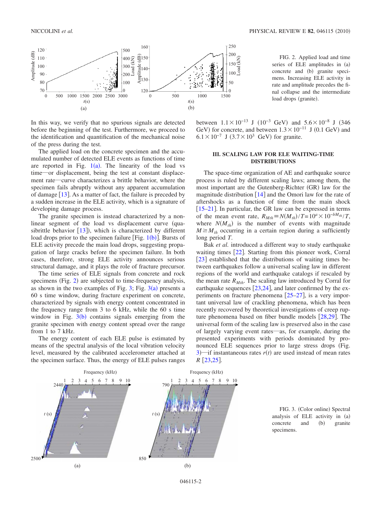

In this way, we verify that no spurious signals are detected before the beginning of the test. Furthermore, we proceed to the identification and quantification of the mechanical noise of the press during the test.

The applied load on the concrete specimen and the accumulated number of detected ELE events as functions of time are reported in Fig.  $1(a)$ . The linearity of the load vs time―or displacement, being the test at constant displacement rate―curve characterizes a brittle behavior, where the specimen fails abruptly without any apparent accumulation of damage  $[13]$ . As a matter of fact, the failure is preceded by a sudden increase in the ELE activity, which is a signature of developing damage process.

The granite specimen is instead characterized by a nonlinear segment of the load vs displacement curve quasibrittle behavior  $[13]$ ), which is characterized by different load drops prior to the specimen failure [Fig.  $1(b)$ ]. Bursts of ELE activity precede the main load drops, suggesting propagation of large cracks before the specimen failure. In both cases, therefore, strong ELE activity announces serious structural damage, and it plays the role of fracture precursor.

The time series of ELE signals from concrete and rock specimens (Fig. 2) are subjected to time-frequency analysis, as shown in the two examples of Fig. 3; Fig.  $3(a)$  presents a 60 s time window, during fracture experiment on concrete, characterized by signals with energy content concentrated in the frequency range from 3 to 6 kHz, while the 60 s time window in Fig.  $3(b)$  contains signals emerging from the granite specimen with energy content spread over the range from 1 to 7 kHz.

The energy content of each ELE pulse is estimated by means of the spectral analysis of the local vibration velocity level, measured by the calibrated accelerometer attached at the specimen surface. Thus, the energy of ELE pulses ranges



### **III. SCALING LAW FOR ELE WAITING-TIME DISTRIBUTIONS**

The space-time organization of AE and earthquake source process is ruled by different scaling laws; among them, the most important are the Gutenberg-Richter (GR) law for the magnitude distribution  $\lceil 14 \rceil$  and the Omori law for the rate of aftershocks as a function of time from the main shock  $[15–21]$ . In particular, the GR law can be expressed in terms of the mean event rate,  $R_{Mth} = N(M_{th})/T = 10^a \times 10^{-bM_{th}}/T$ , where  $N(M_{th})$  is the number of events with magnitude  $M \geq M_{th}$  occurring in a certain region during a sufficiently long period *T*.

Bak *et al.* introduced a different way to study earthquake waiting times [22]. Starting from this pioneer work, Corral [23] established that the distributions of waiting times between earthquakes follow a universal scaling law in different regions of the world and earthquake catalogs if rescaled by the mean rate  $R_{Mth}$ . The scaling law introduced by Corral for earthquake sequences  $[23,24]$ , and later confirmed by the experiments on fracture phenomena  $[25-27]$ , is a very important universal law of crackling phenomena, which has been recently recovered by theoretical investigations of creep rupture phenomena based on fiber bundle models  $[28,29]$ . The universal form of the scaling law is preserved also in the case of largely varying event rates―as, for example, during the presented experiments with periods dominated by pronounced ELE sequences prior to large stress drops (Fig. 3)—if instantaneous rates  $r(t)$  are used instead of mean rates  $R$  [23,25].



FIG. 3. (Color online) Spectral analysis of ELE activity in (a)  $concrete$  and  $(b)$  granite specimens.

FIG. 2. Applied load and time series of ELE amplitudes in (a) concrete and (b) granite specimens. Increasing ELE activity in rate and amplitude precedes the final collapse and the intermediate load drops (granite).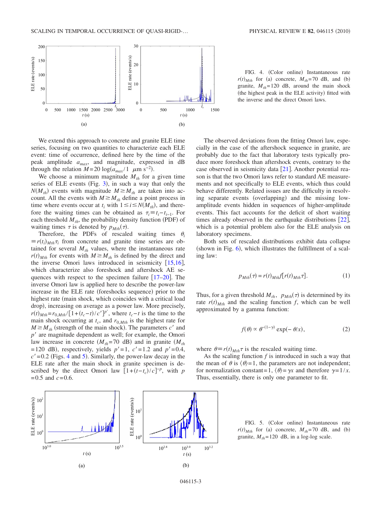

We extend this approach to concrete and granite ELE time series, focusing on two quantities to characterize each ELE event: time of occurrence, defined here by the time of the peak amplitude *amax*, and magnitude, expressed in dB through the relation  $M = 20 \log(a_{max}/1 \mu m s^{-2})$ .

We choose a minimum magnitude  $M_{th}$  for a given time series of ELE events (Fig. 3), in such a way that only the  $N(M_{th})$  events with magnitude  $M \geq M_{th}$  are taken into account. All the events with  $M \geq M_{th}$  define a point process in time where events occur at  $t_i$  with  $1 \le i \le N(M_{th})$ , and therefore the waiting times can be obtained as  $\tau_i \equiv t_i - t_{i-1}$ . For each threshold  $M_{th}$ , the probability density function (PDF) of waiting times  $\tau$  is denoted by  $p_{Mth}(\tau)$ .

Therefore, the PDFs of rescaled waiting times  $\theta_i$  $\equiv r(t_i)_{Mth}\tau_i$  from concrete and granite time series are obtained for several  $M_{th}$  values, where the instantaneous rate  $r(t)$ <sub>*Mth*</sub> for events with  $M \geq M$ <sub>*th*</sub> is defined by the direct and the inverse Omori laws introduced in seismicity  $[15,16]$ , which characterize also foreshock and aftershock AE sequences with respect to the specimen failure  $[17–20]$ . The inverse Omori law is applied here to describe the power-law increase in the ELE rate (foreshocks sequence) prior to the highest rate (main shock, which coincides with a critical load drop), increasing on average as a power law. More precisely, *r*(*t*)<sub>*Mth</sub>*=*r*<sub>0,*Mth*</sub>/[1+*(t<sub>c</sub>*-*t*)/*c'*]<sup>*p*'</sup>, where *t<sub>c</sub>*-*t* is the time to the</sub> main shock occurring at  $t_c$ , and  $r_{0,Mth}$  is the highest rate for  $M \geq M_{th}$  (strength of the main shock). The parameters *c'* and *p*' are magnitude dependent as well; for example, the Omori law increase in concrete  $(M_{th} = 70 \text{ dB})$  and in granite  $(M_{th}$  $= 120 \text{ dB}$ , respectively, yields  $p' = 1$ ,  $c' = 1.2$  and  $p' = 0.4$ ,  $c' = 0.2$  (Figs. 4 and 5). Similarly, the power-law decay in the ELE rate after the main shock in granite specimen is described by the direct Omori law  $[1+(t-t_c)/c]^{-p}$ , with *p*  $= 0.5$  and  $c = 0.6$ .



FIG. 4. (Color online) Instantaneous rate  $r(t)_{Mth}$  for (a) concrete,  $M_{th}$ =70 dB, and (b) granite,  $M_{th}$ = 120 dB, around the main shock (the highest peak in the ELE activity) fitted with the inverse and the direct Omori laws.

The observed deviations from the fitting Omori law, especially in the case of the aftershock sequence in granite, are probably due to the fact that laboratory tests typically produce more foreshock than aftershock events, contrary to the case observed in seismicity data  $[21]$ . Another potential reason is that the two Omori laws refer to standard AE measurements and not specifically to ELE events, which thus could behave differently. Related issues are the difficulty in resolving separate events (overlapping) and the missing lowamplitude events hidden in sequences of higher-amplitude events. This fact accounts for the deficit of short waiting times already observed in the earthquake distributions  $[22]$ , which is a potential problem also for the ELE analysis on laboratory specimens.

Both sets of rescaled distributions exhibit data collapse (shown in Fig.  $6$ ), which illustrates the fulfillment of a scaling law:

$$
p_{Mth}(\tau) = r(t)_{Mth} f[r(t)]_{Mth} \tau]. \tag{1}
$$

Thus, for a given threshold  $M_{th}$ ,  $p_{Mth}(\tau)$  is determined by its rate  $r(t)$ <sub>*Mth*</sub> and the scaling function *f*, which can be well approximated by a gamma function:

$$
f(\theta) \propto \theta^{-(1-\gamma)} \exp(-\theta/x), \qquad (2)
$$

where  $\theta \equiv r(t)_{Mth} \tau$  is the rescaled waiting time.

As the scaling function *f* is introduced in such a way that the mean of  $\theta$  is  $\langle \theta \rangle = 1$ , the parameters are not independent; for normalization constant = 1,  $\langle \theta \rangle = \gamma x$  and therefore  $\gamma = 1/x$ . Thus, essentially, there is only one parameter to fit.

FIG. 5. (Color online) Instantaneous rate  $r(t)_{Mth}$  for (a) concrete,  $M_{th}$ = 70 dB, and (b) granite,  $M_{th}$ = 120 dB, in a log-log scale.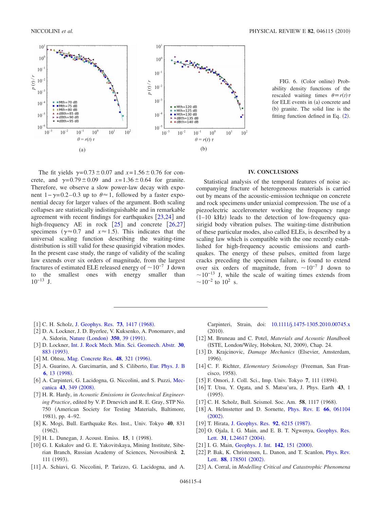

The fit yields  $\gamma = 0.73 \pm 0.07$  and  $x = 1.56 \pm 0.76$  for concrete, and  $\gamma = 0.79 \pm 0.09$  and  $x = 1.36 \pm 0.64$  for granite. Therefore, we observe a slow power-law decay with exponent 1 – γ=0.2–0.3 up to  $θ \approx 1$ , followed by a faster exponential decay for larger values of the argument. Both scaling collapses are statistically indistinguishable and in remarkable agreement with recent findings for earthquakes  $\left[23,24\right]$  and high-frequency AE in rock  $\lceil 25 \rceil$  and concrete  $\lceil 26, 27 \rceil$ specimens ( $\gamma \approx 0.7$  and  $x \approx 1.5$ ). This indicates that the universal scaling function describing the waiting-time distribution is still valid for these quasirigid vibration modes. In the present case study, the range of validity of the scaling law extends over six orders of magnitude, from the largest fractures of estimated ELE released energy of  $\sim 10^{-7}$  J down to the smallest ones with energy smaller than  $10^{-13}$  J.

FIG. 6. (Color online) Probability density functions of the rescaled waiting times  $\theta = r(t)\tau$ for ELE events in (a) concrete and (b) granite. The solid line is the fitting function defined in Eq.  $(2)$ .

#### **IV. CONCLUSIONS**

Statistical analysis of the temporal features of noise accompanying fracture of heterogeneous materials is carried out by means of the acoustic-emission technique on concrete and rock specimens under uniaxial compression. The use of a piezoelectric accelerometer working the frequency range  $(1-10$  kHz) leads to the detection of low-frequency quasirigid body vibration pulses. The waiting-time distribution of these particular modes, also called ELEs, is described by a scaling law which is compatible with the one recently established for high-frequency acoustic emissions and earthquakes. The energy of these pulses, emitted from large cracks preceding the specimen failure, is found to extend over six orders of magnitude, from  $\sim 10^{-7}$  J down to  $\sim$ 10<sup>-13</sup> J, while the scale of waiting times extends from  $\sim$ 10<sup>-2</sup> to 10<sup>2</sup> s.

- [1] C. H. Scholz, [J. Geophys. Res.](http://dx.doi.org/10.1029/JB073i004p01417) **73**, 1417 (1968).
- [2] D. A. Lockner, J. D. Byerlee, V. Kuksenko, A. Ponomarev, and A. Sidorin, Nature ([London](http://dx.doi.org/10.1038/350039a0)) 350, 39 (1991).
- 3 D. Lockner, [Int. J. Rock Mech. Min. Sci. Geomech. Abstr.](http://dx.doi.org/10.1016/0148-9062(93)90041-B) **30**, 883 ([1993](http://dx.doi.org/10.1016/0148-9062(93)90041-B)).
- [4] M. Ohtsu, [Mag. Concrete Res.](http://dx.doi.org/10.1680/macr.1996.48.177.321) 48, 321 (1996).
- [5] A. Guarino, A. Garcimartin, and S. Ciliberto, [Eur. Phys. J. B](http://dx.doi.org/10.1007/s100510050521) **6**, 13 ([1998](http://dx.doi.org/10.1007/s100510050521)).
- [6] A. Carpinteri, G. Lacidogna, G. Niccolini, and S. Puzzi, [Mec](http://dx.doi.org/10.1007/s11012-007-9101-7)[canica](http://dx.doi.org/10.1007/s11012-007-9101-7) 43, 349 (2008).
- 7 H. R. Hardy, in *Acoustic Emissions in Geotechnical Engineering Practice*, edited by V. P. Drnevich and R. E. Gray, STP No. 750 American Society for Testing Materials, Baltimore, 1981), pp. 4-92.
- 8 K. Mogi, Bull. Earthquake Res. Inst., Univ. Tokyo **40**, 831  $(1962).$
- [9] H. L. Dunegan, J. Acoust. Emiss. **15**, 1 (1998).
- [10] G. I. Kukalov and G. E. Yakovitskaya, Mining Institute, Siberian Branch, Russian Academy of Sciences, Novosibirsk **2**, 111 (1993).
- [11] A. Schiavi, G. Niccolini, P. Tarizzo, G. Lacidogna, and A.

Carpinteri, Strain, doi: [10.1111/j.1475-1305.2010.00745.x](http://dx.doi.org/10.1111/j.1475-1305.2010.00745.x)  $(2010).$ 

- 12 M. Bruneau and C. Potel, *Materials and Acoustic Handbook* (ISTE, London/Wiley, Hoboken, NJ, 2009), Chap. 24.
- 13 D. Krajcinovic, *Damage Mechanics* Elsevier, Amsterdam, 1996).
- [14] C. F. Richter, *Elementary Seismology* (Freeman, San Francisco, 1958).
- [15] F. Omori, J. Coll. Sci., Imp. Univ. Tokyo 7, 111 (1894).
- 16 T. Utsu, Y. Ogata, and S. Matsu'ura, J. Phys. Earth **43**, 1  $(1995).$
- [17] C. H. Scholz, Bull. Seismol. Soc. Am. 58, 1117 (1968).
- 18 A. Helmstetter and D. Sornette, [Phys. Rev. E](http://dx.doi.org/10.1103/PhysRevE.66.061104) **66**, 061104  $(2002).$  $(2002).$  $(2002).$
- [19] T. Hirata, [J. Geophys. Res.](http://dx.doi.org/10.1029/JB092iB07p06215) 92, 6215 (1987).
- [20] O. Ojala, I. G. Main, and E. B. T. Ngwenya, [Geophys. Res.](http://dx.doi.org/10.1029/2004GL020781) Lett. 31[, L24617](http://dx.doi.org/10.1029/2004GL020781) (2004).
- [21] I. G. Main, [Geophys. J. Int.](http://dx.doi.org/10.1046/j.1365-246x.2000.00136.x) 142, 151 (2000).
- [22] P. Bak, K. Christensen, L. Danon, and T. Scanlon, *[Phys. Rev.](http://dx.doi.org/10.1103/PhysRevLett.88.178501)* Lett. 88[, 178501](http://dx.doi.org/10.1103/PhysRevLett.88.178501) (2002).
- 23 A. Corral, in *Modelling Critical and Catastrophic Phenomena*